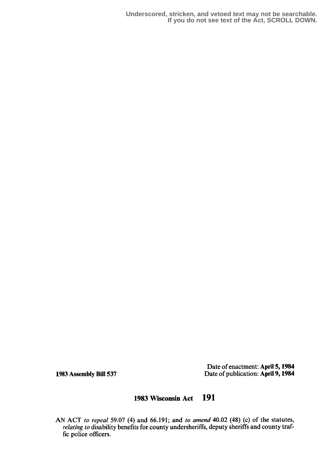**Underscored, stricken, and vetoed text may not be searchable. If you do not see text of the Act, SCROLL DOWN.**

Date of enactment: April 5, 1984 1983 Assembly Bill 537 Date of publication: April 9, 1984

## 1983 Wisconsin Act 191

AN ACT to repeal 59.07 (4) and 66.191; and to amend 40.02 (48) (c) of the statutes, relating to disability benefits for county undersheriffs, deputy sheriffs and county traffic police officers .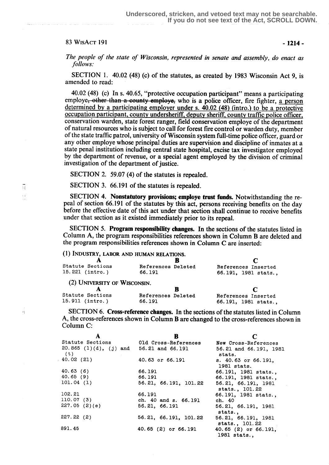## $83 \text{ WisAcr}$  191 - 1214 -

A  $\frac{1}{2}$ 

 $\bar{\nu}$ 

The people of the state of Wisconsin, represented in senate and assembly, do enact as follows:

SECTION 1. 40.02 (48) (c) of the statutes, as created by 1983 Wisconsin Act 9, is amended to read:

40.02 (48) (c) In s. 40.65, "protective occupation participant" means a participating employe<del>, other than a county employe,</del> who is a police officer, fire fighter, <u>a person</u><br>determined by a participating employer under s. 40.02 (48) (intro.) to be a protective<br>occupation participant, county undersheriff, conservation warden, state forest ranger, field conservation employe of the department of natural resources who is subject to call for forest fire control or warden duty, member of the state traffic patrol, university of Wisconsin system full-time police officer, guard or any other employe whose principal duties are supervision and discipline of inmates at a state penal institution including central state hospital, excise tax investigator employed by the department of revenue, or a special agent employed by the division of criminal investigation of the department of justice.

SECTION 2. 59.07 (4) of the statutes is repealed.

SECTION 3. 66.191 of the statutes is repealed.

SECTION 4. Nonstatutory provisions; employe trust funds. Notwithstanding the repeal of section 66.191 of the statutes by this act, persons receiving benefits on the day before the effective date of this act under that section shall continue to receive benefits under that section as it existed immediately prior to its repeal.

SECTION 5. Program responsibility changes. In the sections of the statutes listed in Column A, the program responsibilities references shown in Column B are deleted and the program responsibilities references shown in Column C are inserted :

(1) INDUSTRY, LABOR AND HUMAN RELATIONS.

|        |                              | References Inserted                      |
|--------|------------------------------|------------------------------------------|
| 66.191 |                              | 66.191, 1981 stats.,                     |
|        |                              |                                          |
|        |                              |                                          |
|        |                              | References Inserted                      |
| 66.191 |                              | 66.191, 1981 stats.,                     |
|        | (2) UNIVERSITY OF WISCONSIN. | References Deleted<br>References Deleted |

SECTION 6. Cross-reference changes. In the sections of the statutes listed in Column A, the cross-references shown in Column B are changed to the cross-references shown in Column C:

|                                                  | B                                         |                                       |
|--------------------------------------------------|-------------------------------------------|---------------------------------------|
| Statute Sections                                 | Old Cross-References                      | New Cross-References                  |
| $20.865$ (1)(d), (j) and 56.21 and 66.191<br>(t) |                                           | 56.21 and 66.191, 1981<br>stats.      |
| 40.02(21)                                        | 40.63 or 66.191                           | s. 40.63 or 66.191,<br>1981 stats.    |
| 40.63(6)                                         | 66.191                                    | 66.191, 1981 stats.,                  |
| 40.65 (9)                                        | 66.191                                    | 66.191, 1981 stats.,                  |
| 101.04(1)                                        | 56.21, 66.191, 101.22 56.21, 66.191, 1981 | stats., 101.22                        |
| 102.21                                           | 66.191                                    | 66.191, 1981 stats.,                  |
| 110.07 (3)                                       | ch. 40 and s. 66.191                      | ch. 40                                |
| 227.05(2)(e)                                     | 56.21, 66.191                             | 56.21, 66.191, 1981<br>stats          |
| 227.22 (2)                                       | 56.21, 66.191, 101.22                     | 56.21, 66.191, 1981<br>stats., 101.22 |
| 891.45                                           | $40.65$ $(2)$ or $66.191$                 | 40.65 $(2)$ or 66.191.<br>1981 stats  |